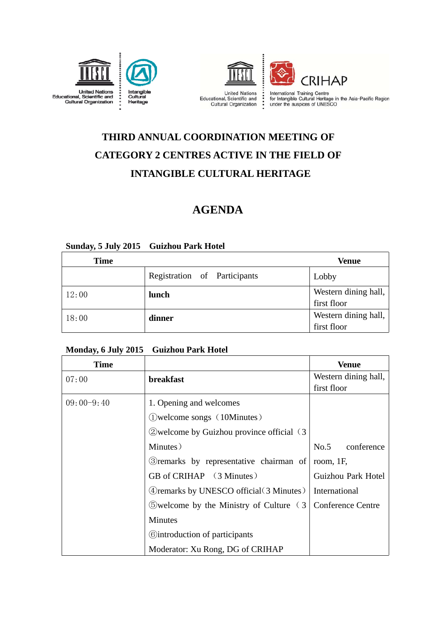



# **THIRD ANNUAL COORDINATION MEETING OF CATEGORY 2 CENTRES ACTIVE IN THE FIELD OF INTANGIBLE CULTURAL HERITAGE**

### **AGENDA**

#### **Sunday, 5 July 2015 Guizhou Park Hotel**

| <b>Time</b> |                              | <b>Venue</b>                        |
|-------------|------------------------------|-------------------------------------|
|             | Registration of Participants | Lobby                               |
| 12:00       | lunch                        | Western dining hall,<br>first floor |
| 18:00       | dinner                       | Western dining hall,<br>first floor |

#### **Monday, 6 July 2015 Guizhou Park Hotel**

| Time         |                                                          | Venue                    |  |
|--------------|----------------------------------------------------------|--------------------------|--|
| 07:00        | breakfast                                                | Western dining hall,     |  |
|              |                                                          | first floor              |  |
| $09:00-9:40$ | 1. Opening and welcomes                                  |                          |  |
|              | (10Minutes)                                              |                          |  |
|              | 2) welcome by Guizhou province official (3)              |                          |  |
|              | Minutes)                                                 | No.5<br>conference       |  |
|              | 3) remarks by representative chairman of                 | room, $1F$ ,             |  |
|              | GB of CRIHAP (3 Minutes)                                 | Guizhou Park Hotel       |  |
|              | (4) remarks by UNESCO official (3 Minutes)               | International            |  |
|              | $\Diamond$ welcome by the Ministry of Culture $\Diamond$ | <b>Conference Centre</b> |  |
|              | <b>Minutes</b>                                           |                          |  |
|              | <b>Controduction of participants</b>                     |                          |  |
|              | Moderator: Xu Rong, DG of CRIHAP                         |                          |  |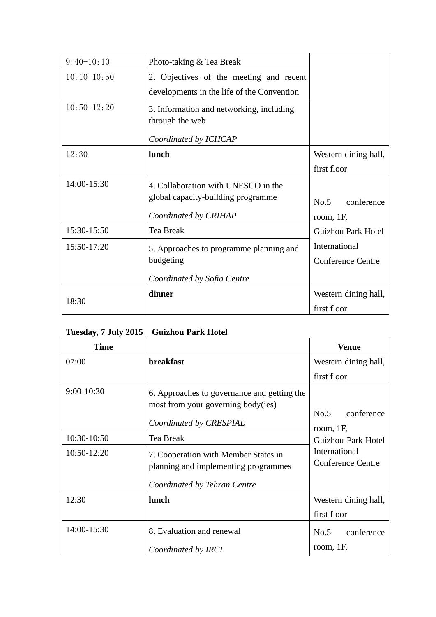| $9:40-10:10$  | Photo-taking & Tea Break                                    |                           |
|---------------|-------------------------------------------------------------|---------------------------|
| $10:10-10:50$ | 2. Objectives of the meeting and recent                     |                           |
|               | developments in the life of the Convention                  |                           |
| $10:50-12:20$ | 3. Information and networking, including<br>through the web |                           |
|               | Coordinated by ICHCAP                                       |                           |
| 12:30         | lunch                                                       | Western dining hall,      |
|               |                                                             | first floor               |
| 14:00-15:30   | 4. Collaboration with UNESCO in the                         |                           |
|               | global capacity-building programme                          | No.5<br>conference        |
|               | Coordinated by CRIHAP                                       | room, $1F$ ,              |
| 15:30-15:50   | Tea Break                                                   | <b>Guizhou Park Hotel</b> |
| 15:50-17:20   | 5. Approaches to programme planning and                     | International             |
|               | budgeting                                                   | <b>Conference Centre</b>  |
|               | Coordinated by Sofia Centre                                 |                           |
| 18:30         | dinner                                                      | Western dining hall,      |
|               |                                                             | first floor               |

#### **Tuesday, 7 July 2015 Guizhou Park Hotel**

| <b>Time</b>  |                                                                                                              | <b>Venue</b>                              |
|--------------|--------------------------------------------------------------------------------------------------------------|-------------------------------------------|
| 07:00        | <b>breakfast</b>                                                                                             | Western dining hall,                      |
|              |                                                                                                              | first floor                               |
| $9:00-10:30$ | 6. Approaches to governance and getting the<br>most from your governing body(ies)<br>Coordinated by CRESPIAL | No.5<br>conference                        |
| 10:30-10:50  | Tea Break                                                                                                    | room, $1F$ ,<br>Guizhou Park Hotel        |
| 10:50-12:20  | 7. Cooperation with Member States in<br>planning and implementing programmes                                 | International<br><b>Conference Centre</b> |
|              | Coordinated by Tehran Centre                                                                                 |                                           |
| 12:30        | lunch                                                                                                        | Western dining hall,<br>first floor       |
| 14:00-15:30  | 8. Evaluation and renewal                                                                                    | conference<br>No.5                        |
|              | Coordinated by IRCI                                                                                          | room, $1F$ ,                              |